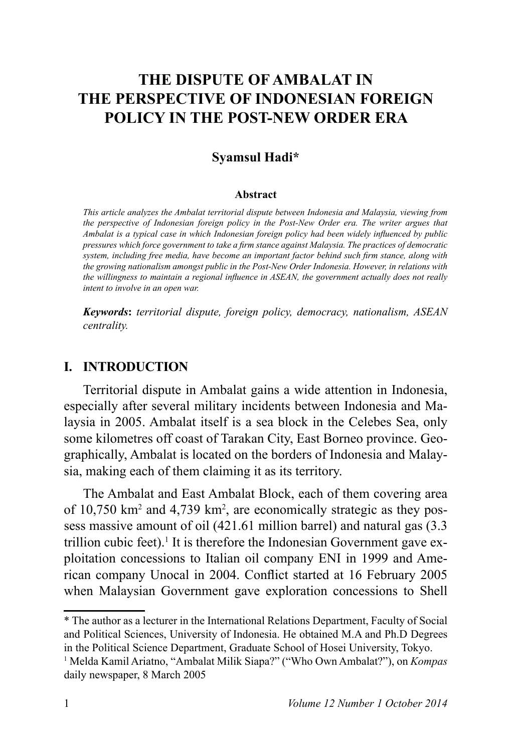# **THE DISPUTE OF AMBALAT IN THE PERSPECTIVE OF INDONESIAN FOREIGN POLICY IN THE POST-NEW ORDER ERA**

#### **Syamsul Hadi\***

#### **Abstract**

*This article analyzes the Ambalat territorial dispute between Indonesia and Malaysia, viewing from the perspective of Indonesian foreign policy in the Post-New Order era. The writer argues that Ambalat is a typical case in which Indonesian foreign policy had been widely influenced by public* pressures which force government to take a firm stance against Malaysia. The practices of democratic *System, including free media, have become an important factor behind such firm stance, along with the growing nationalism amongst public in the Post-New Order Indonesia. However, in relations with the willingness to maintain a regional influence in ASEAN, the government actually does not really intent to involve in an open war.*

*Keywords: territorial dispute, foreign policy, democracy, nationalism, ASEAN centrality.*

#### **I. INTRODUCTION**

Territorial dispute in Ambalat gains a wide attention in Indonesia, especially after several military incidents between Indonesia and Malaysia in 2005. Ambalat itself is a sea block in the Celebes Sea, only some kilometres off coast of Tarakan City, East Borneo province. Geographically, Ambalat is located on the borders of Indonesia and Malaysia, making each of them claiming it as its territory.

The Ambalat and East Ambalat Block, each of them covering area of  $10,750$  km<sup>2</sup> and  $4,739$  km<sup>2</sup>, are economically strategic as they possess massive amount of oil  $(421.61$  million barrel) and natural gas  $(3.3)$ trillion cubic feet).<sup>1</sup> It is therefore the Indonesian Government gave exploitation concessions to Italian oil company ENI in 1999 and American company Unocal in 2004. Conflict started at 16 February 2005 when Malaysian Government gave exploration concessions to Shell

\* The author as a lecturer in the International Relations Department, Faculty of Social and Political Sciences, University of Indonesia. He obtained M.A and Ph.D Degrees in the Political Science Department, Graduate School of Hosei University, Tokyo.

<sup>1</sup> Melda Kamil Ariatno, "Ambalat Milik Siapa?" ("Who Own Ambalat?"), on *Kompas*  daily newspaper, 8 March 2005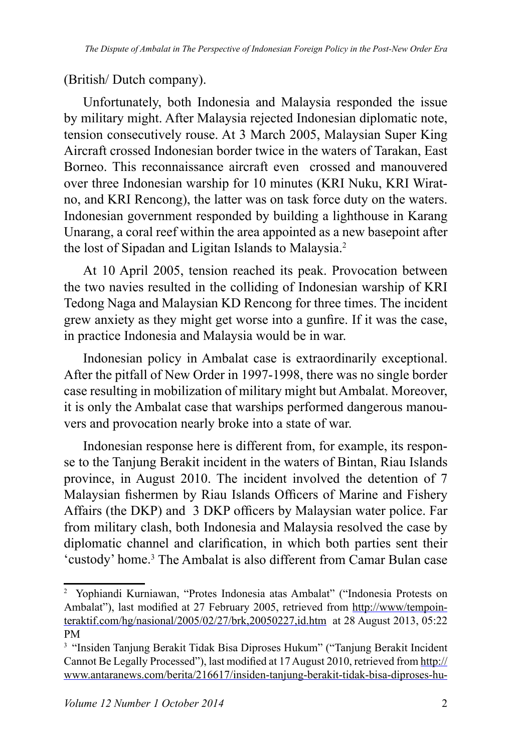(British/ Dutch company).

Unfortunately, both Indonesia and Malaysia responded the issue by military might. After Malaysia rejected Indonesian diplomatic note, tension consecutively rouse. At 3 March 2005, Malaysian Super King Aircraft crossed Indonesian border twice in the waters of Tarakan, East Borneo. This reconnaissance aircraft even crossed and manouvered over three Indonesian warship for 10 minutes (KRI Nuku, KRI Wiratno, and KRI Rencong), the latter was on task force duty on the waters. Indonesian government responded by building a lighthouse in Karang Unarang, a coral reef within the area appointed as a new basepoint after the lost of Sipadan and Ligitan Islands to Malaysia.

At 10 April 2005, tension reached its peak. Provocation between the two navies resulted in the colliding of Indonesian warship of KRI Tedong Naga and Malaysian KD Rencong for three times. The incident grew anxiety as they might get worse into a gunfire. If it was the case, in practice Indonesia and Malaysia would be in war.

Indonesian policy in Ambalat case is extraordinarily exceptional. After the pitfall of New Order in 1997-1998, there was no single border case resulting in mobilization of military might but Ambalat. Moreover, it is only the Ambalat case that warships performed dangerous manouvers and provocation nearly broke into a state of war.

Indonesian response here is different from, for example, its response to the Tanjung Berakit incident in the waters of Bintan, Riau Islands province, in August 2010. The incident involved the detention of 7 Malaysian fishermen by Riau Islands Officers of Marine and Fishery Affairs (the DKP) and 3 DKP officers by Malaysian water police. Far from military clash, both Indonesia and Malaysia resolved the case by diplomatic channel and clarification, in which both parties sent their 'custody' home.<sup>3</sup> The Ambalat is also different from Camar Bulan case

<sup>&</sup>lt;sup>2</sup> Yophiandi Kurniawan, "Protes Indonesia atas Ambalat" ("Indonesia Protests on Ambalat"), last modified at 27 February 2005, retrieved from http://www/tempointeraktif.com/hg/nasional/2005/02/27/brk,20050227,id.htm at 28 August 2013, 05:22 PM

<sup>&</sup>lt;sup>3</sup> "Insiden Tanjung Berakit Tidak Bisa Diproses Hukum" ("Tanjung Berakit Incident Cannot Be Legally Processed"), last modified at 17 August 2010, retrieved from http:// www.antaranews.com/berita/216617/insiden-tanjung-berakit-tidak-bisa-diproses-hu-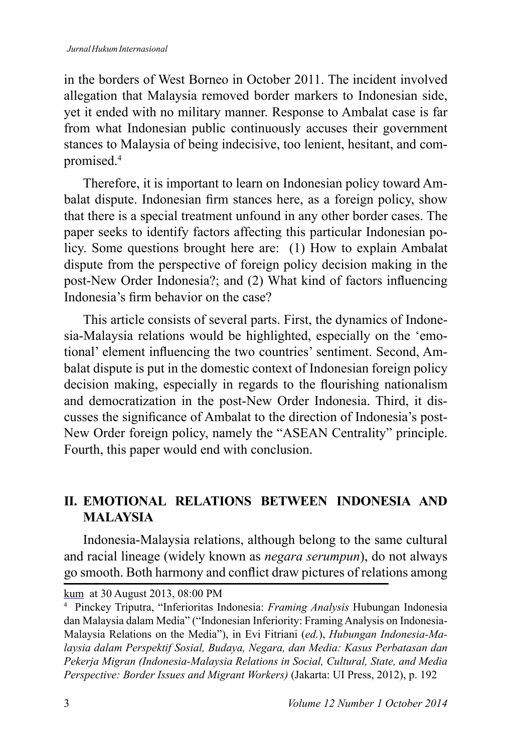in the borders of West Borneo in October 2011. The incident involved allegation that Malaysia removed border markers to Indonesian side, yet it ended with no military manner. Response to Ambalat case is far from what Indonesian public continuously accuses their government stances to Malaysia of being indecisive, too lenient, hesitant, and compromised.<sup>4</sup>

Therefore, it is important to learn on Indonesian policy toward Ambalat dispute. Indonesian firm stances here, as a foreign policy, show that there is a special treatment unfound in any other border cases. The paper seeks to identify factors affecting this particular Indonesian policy. Some questions brought here are: (1) How to explain Ambalat dispute from the perspective of foreign policy decision making in the post-New Order Indonesia?; and (2) What kind of factors influencing Indonesia's firm behavior on the case?

This article consists of several parts. First, the dynamics of Indonesia-Malaysia relations would be highlighted, especially on the 'emotional' element influencing the two countries' sentiment. Second. Ambalat dispute is put in the domestic context of Indonesian foreign policy decision making, especially in regards to the flourishing nationalism and democratization in the post-New Order Indonesia. Third, it discusses the significance of Ambalat to the direction of Indonesia's post-New Order foreign policy, namely the "ASEAN Centrality" principle. Fourth, this paper would end with conclusion.

## **II. EMOTIONAL RELATIONS BETWEEN INDONESIA AND MALAYSIA**

Indonesia-Malaysia relations, although belong to the same cultural and racial lineage (widely known as *negara serumpun*), do not always go smooth. Both harmony and conflict draw pictures of relations among

kum at 30 August 2013, 08:00 PM

<sup>4</sup> Pinckey Triputra, "Inferioritas Indonesia: *Framing Analysis* Hubungan Indonesia dan Malaysia dalam Media" ("Indonesian Inferiority: Framing Analysis on Indonesia-Malaysia Relations on the Media"), in Evi Fitriani (*ed.*), *Hubungan Indonesia-Ma*laysia dalam Perspektif Sosial, Budaya, Negara, dan Media: Kasus Perbatasan dan Pekerja Migran (Indonesia-Malaysia Relations in Social, Cultural, State, and Media *Perspective: Border Issues and Migrant Workers*) (Jakarta: UI Press, 2012), p. 192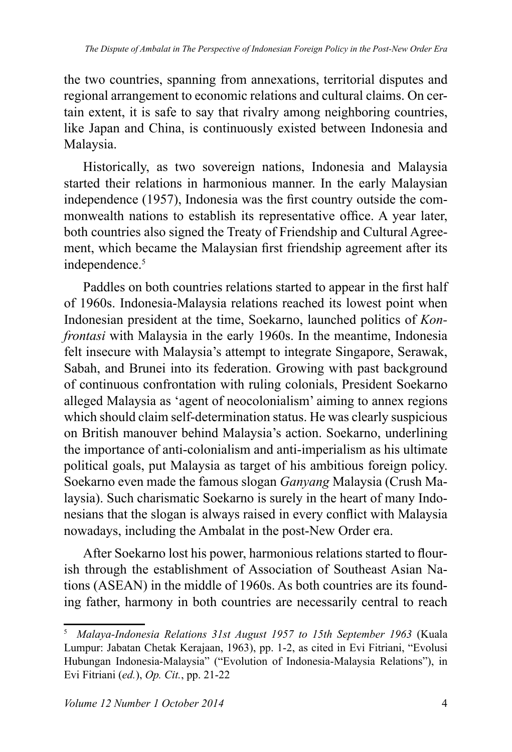the two countries, spanning from annexations, territorial disputes and regional arrangement to economic relations and cultural claims. On certain extent, it is safe to say that rivalry among neighboring countries, like Japan and China, is continuously existed between Indonesia and Malaysia.

Historically, as two sovereign nations, Indonesia and Malaysia started their relations in harmonious manner. In the early Malaysian independence (1957), Indonesia was the first country outside the commonwealth nations to establish its representative office. A year later, both countries also signed the Treaty of Friendship and Cultural Agreement, which became the Malaysian first friendship agreement after its independence.<sup>5</sup>

Paddles on both countries relations started to appear in the first half of 1960s. Indonesia-Malaysia relations reached its lowest point when Indonesian president at the time, Soekarno, launched politics of *Konfrontasi* with Malaysia in the early 1960s. In the meantime, Indonesia felt insecure with Malaysia's attempt to integrate Singapore, Serawak, Sabah, and Brunei into its federation. Growing with past background of continuous confrontation with ruling colonials, President Soekarno alleged Malaysia as 'agent of neocolonialism' aiming to annex regions which should claim self-determination status. He was clearly suspicious on British manouver behind Malaysia's action. Soekarno, underlining the importance of anti-colonialism and anti-imperialism as his ultimate political goals, put Malaysia as target of his ambitious foreign policy. Soekarno even made the famous slogan *Ganyang* Malaysia (Crush Malaysia). Such charismatic Soekarno is surely in the heart of many Indonesians that the slogan is always raised in every conflict with Malaysia nowadays, including the Ambalat in the post-New Order era.

After Soekarno lost his power, harmonious relations started to flourish through the establishment of Association of Southeast Asian Nations (ASEAN) in the middle of 1960s. As both countries are its founding father, harmony in both countries are necessarily central to reach

<sup>&</sup>lt;sup>5</sup> Malaya-Indonesia Relations 31st August 1957 to 15th September 1963 (Kuala Lumpur: Jabatan Chetak Kerajaan, 1963), pp. 1-2, as cited in Evi Fitriani, "Evolusi Hubungan Indonesia-Malaysia" ("Evolution of Indonesia-Malaysia Relations"), in Evi Fitriani (ed.), *Op. Cit.*, pp. 21-22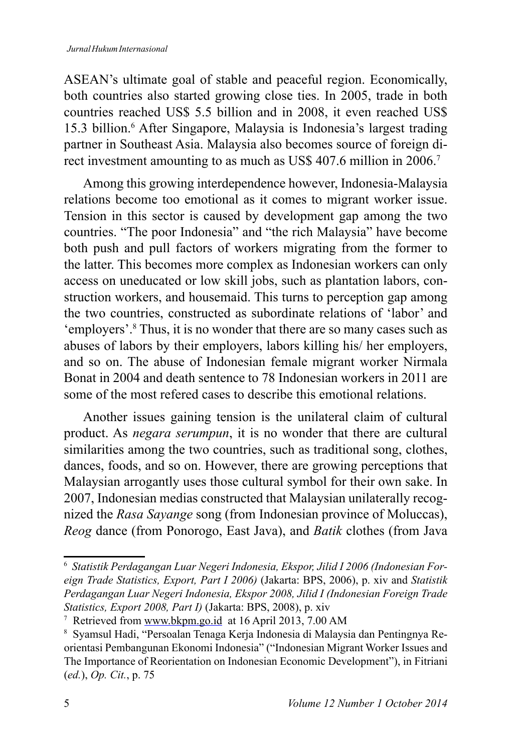ASEAN's ultimate goal of stable and peaceful region. Economically, both countries also started growing close ties. In 2005, trade in both countries reached US\$ 5.5 billion and in 2008, it even reached US\$ 15.3 billion.<sup>6</sup> After Singapore, Malaysia is Indonesia's largest trading partner in Southeast Asia. Malaysia also becomes source of foreign direct investment amounting to as much as US\$ 407.6 million in 2006.<sup>7</sup>

Among this growing interdependence however, Indonesia-Malaysia relations become too emotional as it comes to migrant worker issue. Tension in this sector is caused by development gap among the two countries. "The poor Indonesia" and "the rich Malaysia" have become both push and pull factors of workers migrating from the former to the latter. This becomes more complex as Indonesian workers can only access on uneducated or low skill jobs, such as plantation labors, construction workers, and housemaid. This turns to perception gap among the two countries, constructed as subordinate relations of 'labor' and 'employers'.<sup>8</sup> Thus, it is no wonder that there are so many cases such as abuses of labors by their employers, labors killing his/ her employers, and so on. The abuse of Indonesian female migrant worker Nirmala Bonat in 2004 and death sentence to 78 Indonesian workers in 2011 are some of the most refered cases to describe this emotional relations.

Another issues gaining tension is the unilateral claim of cultural product. As *negara serumpun*, it is no wonder that there are cultural similarities among the two countries, such as traditional song, clothes, dances, foods, and so on. However, there are growing perceptions that Malaysian arrogantly uses those cultural symbol for their own sake. In 2007, Indonesian medias constructed that Malaysian unilaterally recognized the *Rasa Sayange* song (from Indonesian province of Moluccas), *Reog* dance (from Ponorogo, East Java), and *Batik* clothes (from Java

 $^6\,$  Statistik Perdagangan Luar Negeri Indonesia, Ekspor, Jilid I 2006 (Indonesian For*eign Trade Statistics, Export, Part I 2006*) (Jakarta: BPS, 2006), p. xiv and Statistik Perdagangan Luar Negeri Indonesia, Ekspor 2008, Jilid I (Indonesian Foreign Trade *Statistics, Export 2008, Part I)* (Jakarta: BPS, 2008), p. xiv

<sup>&</sup>lt;sup>7</sup> Retrieved from www.bkpm.go.id at 16 April 2013, 7.00 AM

<sup>8</sup> Syamsul Hadi, "Persoalan Tenaga Kerja Indonesia di Malaysia dan Pentingnya Reorientasi Pembangunan Ekonomi Indonesia" ("Indonesian Migrant Worker Issues and The Importance of Reorientation on Indonesian Economic Development"), in Fitriani (ed.), *Op.* Cit., p. 75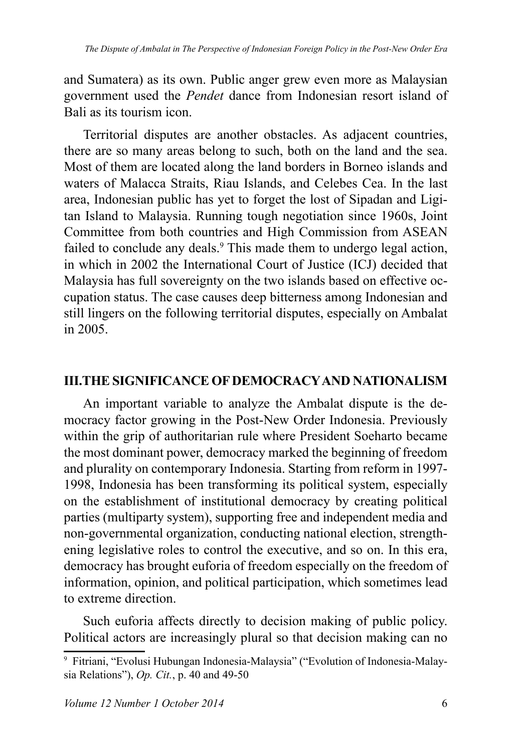and Sumatera) as its own. Public anger grew even more as Malaysian government used the *Pendet* dance from Indonesian resort island of Bali as its tourism icon.

Territorial disputes are another obstacles. As adjacent countries, there are so many areas belong to such, both on the land and the sea. Most of them are located along the land borders in Borneo islands and waters of Malacca Straits, Riau Islands, and Celebes Cea. In the last area, Indonesian public has yet to forget the lost of Sipadan and Ligitan Island to Malaysia. Running tough negotiation since 1960s, Joint Committee from both countries and High Commission from ASEAN failed to conclude any deals.<sup>9</sup> This made them to undergo legal action, in which in 2002 the International Court of Justice (ICJ) decided that Malaysia has full sovereignty on the two islands based on effective occupation status. The case causes deep bitterness among Indonesian and still lingers on the following territorial disputes, especially on Ambalat in  $2005$ .

### **III.THE SIGNIFICANCE OF DEMOCRACY AND NATIONALISM**

An important variable to analyze the Ambalat dispute is the democracy factor growing in the Post-New Order Indonesia. Previously within the grip of authoritarian rule where President Soeharto became the most dominant power, democracy marked the beginning of freedom and plurality on contemporary Indonesia. Starting from reform in 1997- 1998, Indonesia has been transforming its political system, especially on the establishment of institutional democracy by creating political parties (multiparty system), supporting free and independent media and non-governmental organization, conducting national election, strengthening legislative roles to control the executive, and so on. In this era, democracy has brought euforia of freedom especially on the freedom of information, opinion, and political participation, which sometimes lead to extreme direction.

Such euforia affects directly to decision making of public policy. Political actors are increasingly plural so that decision making can no

<sup>9</sup> Fitriani, "Evolusi Hubungan Indonesia-Malaysia" ("Evolution of Indonesia-Malaysia Relations"), *Op. Cit.*, p. 40 and 49-50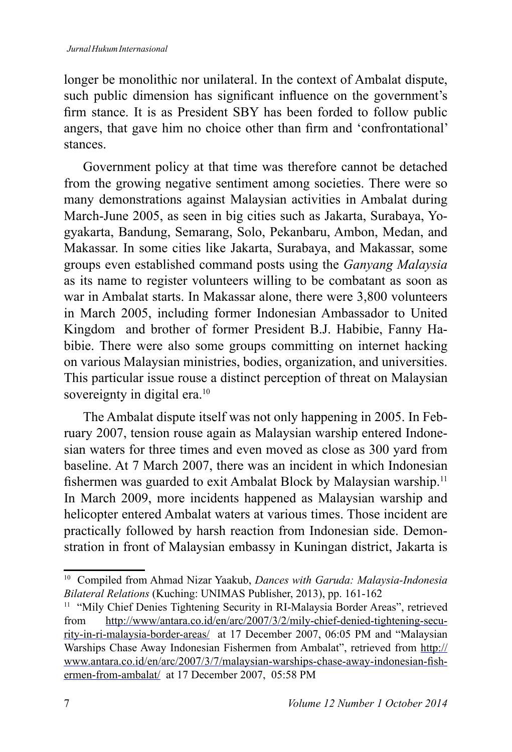longer be monolithic nor unilateral. In the context of Ambalat dispute, such public dimension has significant influence on the government's firm stance. It is as President SBY has been forded to follow public angers, that gave him no choice other than firm and 'confrontational' stances.

Government policy at that time was therefore cannot be detached from the growing negative sentiment among societies. There were so many demonstrations against Malaysian activities in Ambalat during March-June 2005, as seen in big cities such as Jakarta, Surabaya, Yogyakarta, Bandung, Semarang, Solo, Pekanbaru, Ambon, Medan, and Makassar. In some cities like Jakarta, Surabaya, and Makassar, some groups even established command posts using the *Ganyang Malaysia* as its name to register volunteers willing to be combatant as soon as war in Ambalat starts. In Makassar alone, there were 3,800 volunteers in March 2005, including former Indonesian Ambassador to United Kingdom and brother of former President B.J. Habibie, Fanny Habibie. There were also some groups committing on internet hacking on various Malaysian ministries, bodies, organization, and universities. This particular issue rouse a distinct perception of threat on Malaysian sovereignty in digital era.<sup>10</sup>

The Ambalat dispute itself was not only happening in 2005. In February 2007, tension rouse again as Malaysian warship entered Indonesian waters for three times and even moved as close as 300 yard from baseline. At 7 March 2007, there was an incident in which Indonesian fishermen was guarded to exit Ambalat Block by Malaysian warship.<sup>11</sup> In March 2009, more incidents happened as Malaysian warship and helicopter entered Ambalat waters at various times. Those incident are practically followed by harsh reaction from Indonesian side. Demonstration in front of Malaysian embassy in Kuningan district, Jakarta is

<sup>&</sup>lt;sup>10</sup> Compiled from Ahmad Nizar Yaakub, *Dances with Garuda: Malaysia-Indonesia* Bilateral Relations (Kuching: UNIMAS Publisher, 2013), pp. 161-162

<sup>&</sup>lt;sup>11</sup> "Mily Chief Denies Tightening Security in RI-Malaysia Border Areas", retrieved from http://www/antara.co.id/en/arc/2007/3/2/mily-chief-denied-tightening-security-in-ri-malaysia-border-areas/ at 17 December 2007, 06:05 PM and "Malaysian Warships Chase Away Indonesian Fishermen from Ambalat", retrieved from http:// www.antara.co.id/en/arc/2007/3/7/malaysian-warships-chase-away-indonesian-fishermen-from-ambalat/ at 17 December 2007, 05:58 PM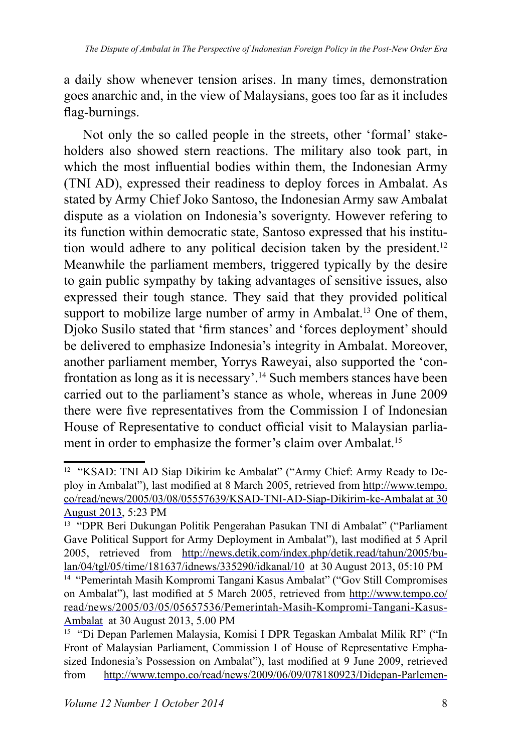a daily show whenever tension arises. In many times, demonstration goes anarchic and, in the view of Malaysians, goes too far as it includes flag-burnings.

Not only the so called people in the streets, other 'formal' stakeholders also showed stern reactions. The military also took part, in which the most influential bodies within them, the Indonesian Army (TNI AD), expressed their readiness to deploy forces in Ambalat. As stated by Army Chief Joko Santoso, the Indonesian Army saw Ambalat dispute as a violation on Indonesia's soverignty. However refering to its function within democratic state, Santoso expressed that his institution would adhere to any political decision taken by the president. Meanwhile the parliament members, triggered typically by the desire to gain public sympathy by taking advantages of sensitive issues, also expressed their tough stance. They said that they provided political support to mobilize large number of army in Ambalat.<sup>13</sup> One of them, Dioko Susilo stated that 'firm stances' and 'forces deployment' should be delivered to emphasize Indonesia's integrity in Ambalat. Moreover, another parliament member, Yorrys Raweyai, also supported the 'confrontation as long as it is necessary'.<sup>14</sup> Such members stances have been carried out to the parliament's stance as whole, whereas in June 2009 there were five representatives from the Commission I of Indonesian House of Representative to conduct official visit to Malaysian parliament in order to emphasize the former's claim over Ambalat.<sup>15</sup>

<sup>&</sup>lt;sup>12</sup> "KSAD: TNI AD Siap Dikirim ke Ambalat" ("Army Chief: Army Ready to Deploy in Ambalat"), last modified at 8 March 2005, retrieved from http://www.tempo. co/read/news/2005/03/08/05557639/KSAD-TNI-AD-Siap-Dikirim-ke-Ambalat at 30 August 2013, 5:23 PM

<sup>13</sup> "DPR Beri Dukungan Politik Pengerahan Pasukan TNI di Ambalat" ("Parliament Gave Political Support for Army Deployment in Ambalat"), last modified at 5 April 2005, retrieved from http://news.detik.com/index.php/detik.read/tahun/2005/bulan/04/tgl/05/time/181637/idnews/335290/idkanal/10 at 30 August 2013, 05:10 PM

<sup>14</sup> "Pemerintah Masih Kompromi Tangani Kasus Ambalat" ("Gov Still Compromises on Ambalat"), last modified at 5 March 2005, retrieved from http://www.tempo.co/ read/news/2005/03/05/05657536/Pemerintah-Masih-Kompromi-Tangani-Kasus-Ambalat at 30 August 2013, 5.00 PM

<sup>&</sup>lt;sup>15</sup> "Di Depan Parlemen Malaysia, Komisi I DPR Tegaskan Ambalat Milik RI" ("In Front of Malaysian Parliament, Commission I of House of Representative Emphasized Indonesia's Possession on Ambalat"), last modified at 9 June 2009, retrieved from http://www.tempo.co/read/news/2009/06/09/078180923/Didepan-Parlemen-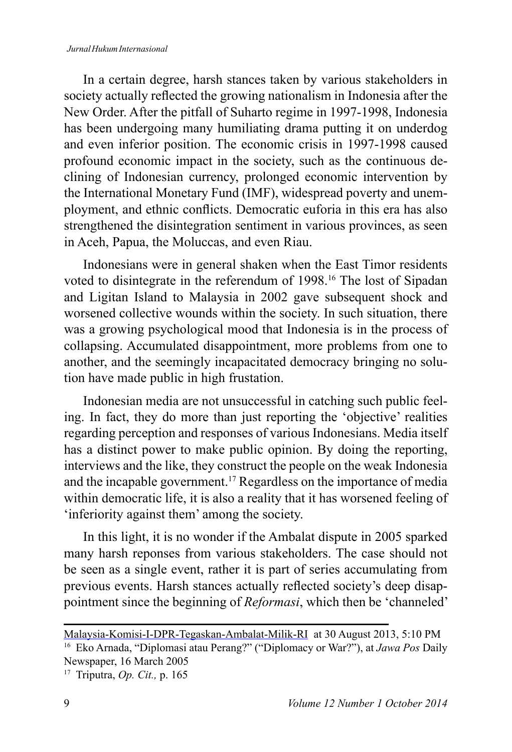#### *Jurnal Hukum Internasional*

In a certain degree, harsh stances taken by various stakeholders in society actually reflected the growing nationalism in Indonesia after the New Order. After the pitfall of Suharto regime in 1997-1998, Indonesia has been undergoing many humiliating drama putting it on underdog and even inferior position. The economic crisis in 1997-1998 caused profound economic impact in the society, such as the continuous declining of Indonesian currency, prolonged economic intervention by the International Monetary Fund (IMF), widespread poverty and unemployment, and ethnic conflicts. Democratic euforia in this era has also strengthened the disintegration sentiment in various provinces, as seen in Aceh, Papua, the Moluccas, and even Riau.

Indonesians were in general shaken when the East Timor residents voted to disintegrate in the referendum of 1998.<sup>16</sup> The lost of Sipadan and Ligitan Island to Malaysia in 2002 gave subsequent shock and worsened collective wounds within the society. In such situation, there was a growing psychological mood that Indonesia is in the process of collapsing. Accumulated disappointment, more problems from one to another, and the seemingly incapacitated democracy bringing no solution have made public in high frustation.

Indonesian media are not unsuccessful in catching such public feeling. In fact, they do more than just reporting the 'objective' realities regarding perception and responses of various Indonesians. Media itself has a distinct power to make public opinion. By doing the reporting, interviews and the like, they construct the people on the weak Indonesia and the incapable government.<sup>17</sup> Regardless on the importance of media within democratic life, it is also a reality that it has worsened feeling of 'inferiority against them' among the society.

In this light, it is no wonder if the Ambalat dispute in 2005 sparked many harsh reponses from various stakeholders. The case should not be seen as a single event, rather it is part of series accumulating from previous events. Harsh stances actually reflected society's deep disappointment since the beginning of *Reformasi*, which then be 'channeled'

Malaysia-Komisi-I-DPR-Tegaskan-Ambalat-Milik-RI at 30 August 2013, 5:10 PM <sup>16</sup> Eko Arnada, "Diplomasi atau Perang?" ("Diplomacy or War?"), at *Jawa Pos* Daily Newspaper, 16 March 2005

<sup>&</sup>lt;sup>17</sup> Triputra, *Op. Cit.*, p. 165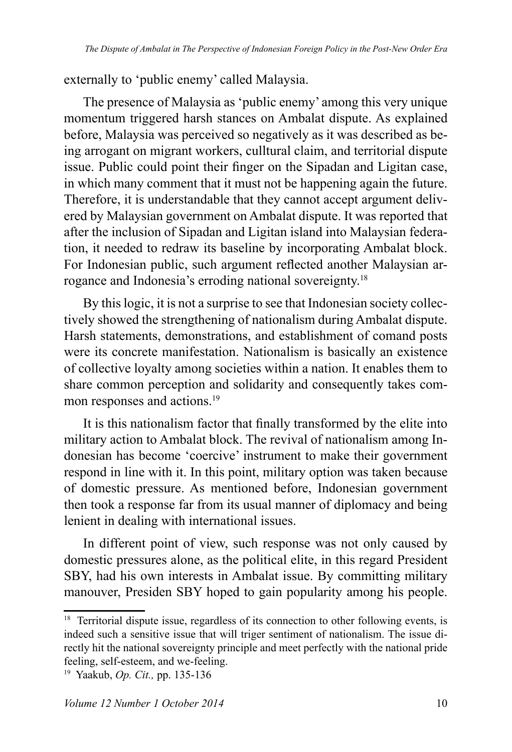externally to 'public enemy' called Malaysia.

The presence of Malaysia as 'public enemy' among this very unique momentum triggered harsh stances on Ambalat dispute. As explained before, Malaysia was perceived so negatively as it was described as being arrogant on migrant workers, culltural claim, and territorial dispute issue. Public could point their finger on the Sipadan and Ligitan case. in which many comment that it must not be happening again the future. Therefore, it is understandable that they cannot accept argument delivered by Malaysian government on Ambalat dispute. It was reported that after the inclusion of Sipadan and Ligitan island into Malaysian federation, it needed to redraw its baseline by incorporating Ambalat block. For Indonesian public, such argument reflected another Malaysian arrogance and Indonesia's erroding national sovereignty.<sup>18</sup>

By this logic, it is not a surprise to see that Indonesian society collectively showed the strengthening of nationalism during Ambalat dispute. Harsh statements, demonstrations, and establishment of comand posts were its concrete manifestation. Nationalism is basically an existence of collective loyalty among societies within a nation. It enables them to share common perception and solidarity and consequently takes common responses and actions.<sup>19</sup>

It is this nationalism factor that finally transformed by the elite into military action to Ambalat block. The revival of nationalism among Indonesian has become 'coercive' instrument to make their government respond in line with it. In this point, military option was taken because of domestic pressure. As mentioned before, Indonesian government then took a response far from its usual manner of diplomacy and being lenient in dealing with international issues.

In different point of view, such response was not only caused by domestic pressures alone, as the political elite, in this regard President SBY, had his own interests in Ambalat issue. By committing military manouver, Presiden SBY hoped to gain popularity among his people.

<sup>&</sup>lt;sup>18</sup> Territorial dispute issue, regardless of its connection to other following events, is indeed such a sensitive issue that will triger sentiment of nationalism. The issue directly hit the national sovereignty principle and meet perfectly with the national pride feeling, self-esteem, and we-feeling.

<sup>&</sup>lt;sup>19</sup> Yaakub, *Op. Cit.*, pp. 135-136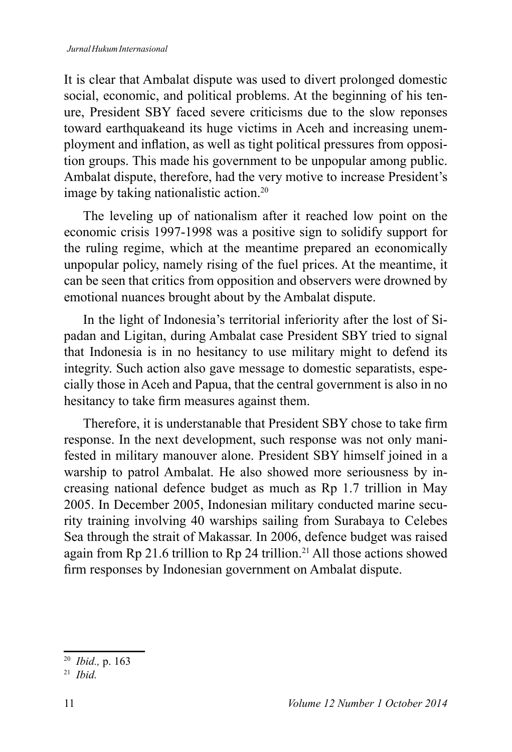It is clear that Ambalat dispute was used to divert prolonged domestic social, economic, and political problems. At the beginning of his tenure, President SBY faced severe criticisms due to the slow reponses toward earthquakeand its huge victims in Aceh and increasing unemployment and inflation, as well as tight political pressures from opposition groups. This made his government to be unpopular among public. Ambalat dispute, therefore, had the very motive to increase President's image by taking nationalistic action.

The leveling up of nationalism after it reached low point on the economic crisis 1997-1998 was a positive sign to solidify support for the ruling regime, which at the meantime prepared an economically unpopular policy, namely rising of the fuel prices. At the meantime, it can be seen that critics from opposition and observers were drowned by emotional nuances brought about by the Ambalat dispute.

In the light of Indonesia's territorial inferiority after the lost of Sipadan and Ligitan, during Ambalat case President SBY tried to signal that Indonesia is in no hesitancy to use military might to defend its integrity. Such action also gave message to domestic separatists, especially those in Aceh and Papua, that the central government is also in no hesitancy to take firm measures against them.

Therefore, it is understanable that President SBY chose to take firm response. In the next development, such response was not only manifested in military manouver alone. President SBY himself joined in a warship to patrol Ambalat. He also showed more seriousness by increasing national defence budget as much as Rp 1.7 trillion in May 2005. In December 2005, Indonesian military conducted marine security training involving 40 warships sailing from Surabaya to Celebes Sea through the strait of Makassar. In 2006, defence budget was raised again from Rp 21.6 trillion to Rp 24 trillion.<sup>21</sup> All those actions showed firm responses by Indonesian government on Ambalat dispute.

 *Ibid.,* p. 163

 *Ibid.*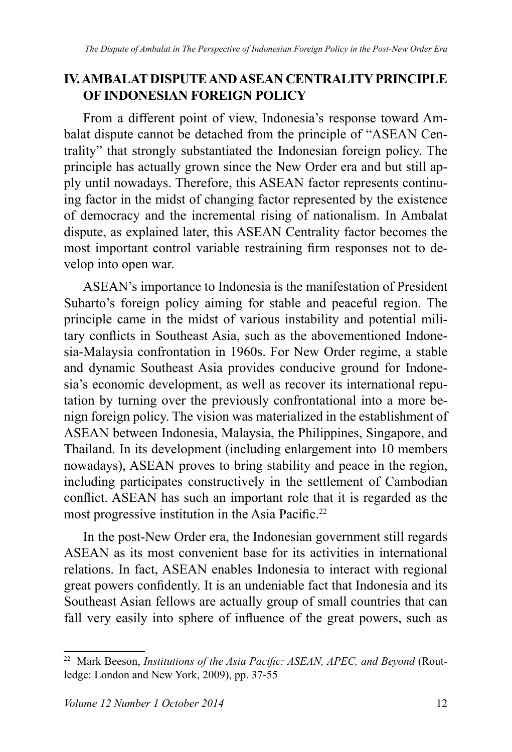### **IV. AMBALAT DISPUTE AND ASEAN CENTRALITY PRINCIPLE OF INDONESIAN FOREIGN POLICY**

From a different point of view, Indonesia's response toward Ambalat dispute cannot be detached from the principle of "ASEAN Centrality" that strongly substantiated the Indonesian foreign policy. The principle has actually grown since the New Order era and but still apply until nowadays. Therefore, this ASEAN factor represents continuing factor in the midst of changing factor represented by the existence of democracy and the incremental rising of nationalism. In Ambalat dispute, as explained later, this ASEAN Centrality factor becomes the most important control variable restraining firm responses not to develop into open war.

ASEAN's importance to Indonesia is the manifestation of President Suharto's foreign policy aiming for stable and peaceful region. The principle came in the midst of various instability and potential military conflicts in Southeast Asia, such as the abovementioned Indonesia-Malaysia confrontation in 1960s. For New Order regime, a stable and dynamic Southeast Asia provides conducive ground for Indonesia's economic development, as well as recover its international reputation by turning over the previously confrontational into a more benign foreign policy. The vision was materialized in the establishment of ASEAN between Indonesia, Malaysia, the Philippines, Singapore, and Thailand. In its development (including enlargement into 10 members nowadays), ASEAN proves to bring stability and peace in the region, including participates constructively in the settlement of Cambodian conflict. ASEAN has such an important role that it is regarded as the most progressive institution in the Asia Pacific.<sup>22</sup>

In the post-New Order era, the Indonesian government still regards ASEAN as its most convenient base for its activities in international relations. In fact, ASEAN enables Indonesia to interact with regional great powers confidently. It is an undeniable fact that Indonesia and its Southeast Asian fellows are actually group of small countries that can fall very easily into sphere of influence of the great powers, such as

<sup>&</sup>lt;sup>22</sup> Mark Beeson, *Institutions of the Asia Pacific: ASEAN, APEC, and Beyond* (Routledge: London and New York, 2009), pp. 37-55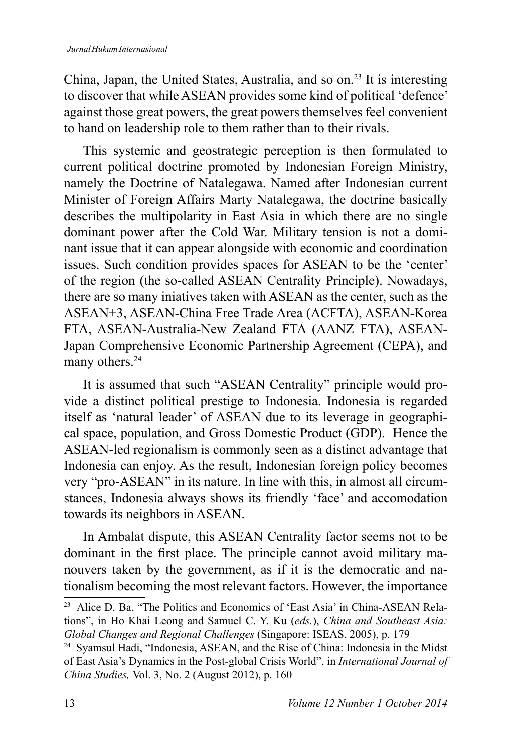China, Japan, the United States, Australia, and so  $\text{on.}^{23}$  It is interesting to discover that while ASEAN provides some kind of political 'defence' against those great powers, the great powers themselves feel convenient to hand on leadership role to them rather than to their rivals.

This systemic and geostrategic perception is then formulated to current political doctrine promoted by Indonesian Foreign Ministry, namely the Doctrine of Natalegawa. Named after Indonesian current Minister of Foreign Affairs Marty Natalegawa, the doctrine basically describes the multipolarity in East Asia in which there are no single dominant power after the Cold War. Military tension is not a dominant issue that it can appear alongside with economic and coordination issues. Such condition provides spaces for ASEAN to be the 'center' of the region (the so-called ASEAN Centrality Principle). Nowadays, there are so many iniatives taken with ASEAN as the center, such as the ASEAN+3, ASEAN-China Free Trade Area (ACFTA), ASEAN-Korea FTA, ASEAN-Australia-New Zealand FTA (AANZ FTA), ASEAN-Japan Comprehensive Economic Partnership Agreement (CEPA), and many others.<sup>24</sup>

It is assumed that such "ASEAN Centrality" principle would provide a distinct political prestige to Indonesia. Indonesia is regarded itself as 'natural leader' of ASEAN due to its leverage in geographical space, population, and Gross Domestic Product (GDP). Hence the ASEAN-led regionalism is commonly seen as a distinct advantage that Indonesia can enjoy. As the result, Indonesian foreign policy becomes very "pro-ASEAN" in its nature. In line with this, in almost all circumstances, Indonesia always shows its friendly 'face' and accomodation towards its neighbors in ASEAN.

In Ambalat dispute, this ASEAN Centrality factor seems not to be dominant in the first place. The principle cannot avoid military manouvers taken by the government, as if it is the democratic and nationalism becoming the most relevant factors. However, the importance

<sup>&</sup>lt;sup>23</sup> Alice D. Ba, "The Politics and Economics of 'East Asia' in China-ASEAN Relations", in Ho Khai Leong and Samuel C. Y. Ku (eds.), *China and Southeast Asia:* Global Changes and Regional Challenges (Singapore: ISEAS, 2005), p. 179

<sup>&</sup>lt;sup>24</sup> Syamsul Hadi, "Indonesia, ASEAN, and the Rise of China: Indonesia in the Midst of East Asia's Dynamics in the Post-global Crisis World", in *International Journal of China Studies, Vol. 3, No. 2 (August 2012), p. 160*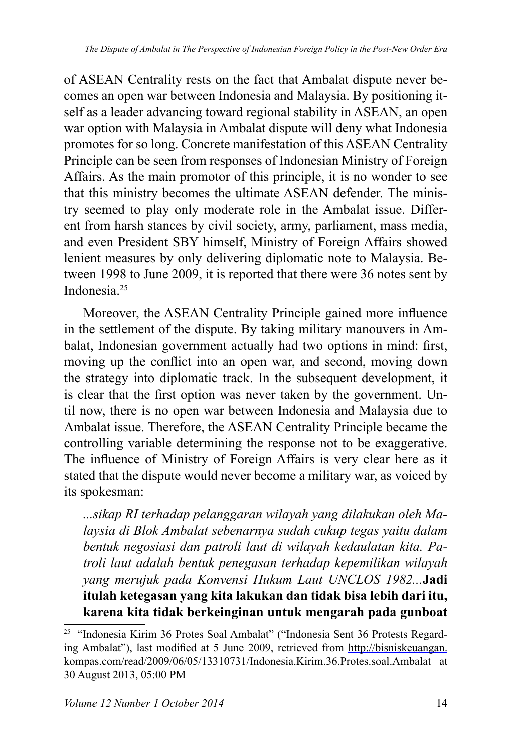of ASEAN Centrality rests on the fact that Ambalat dispute never becomes an open war between Indonesia and Malaysia. By positioning itself as a leader advancing toward regional stability in ASEAN, an open war option with Malaysia in Ambalat dispute will deny what Indonesia promotes for so long. Concrete manifestation of this ASEAN Centrality Principle can be seen from responses of Indonesian Ministry of Foreign Affairs. As the main promotor of this principle, it is no wonder to see that this ministry becomes the ultimate ASEAN defender. The ministry seemed to play only moderate role in the Ambalat issue. Different from harsh stances by civil society, army, parliament, mass media, and even President SBY himself, Ministry of Foreign Affairs showed lenient measures by only delivering diplomatic note to Malaysia. Between 1998 to June 2009, it is reported that there were 36 notes sent by Indonesia.

Moreover, the ASEAN Centrality Principle gained more influence in the settlement of the dispute. By taking military manouvers in Ambalat, Indonesian government actually had two options in mind: first, moving up the conflict into an open war, and second, moving down the strategy into diplomatic track. In the subsequent development, it is clear that the first option was never taken by the government. Until now, there is no open war between Indonesia and Malaysia due to Ambalat issue. Therefore, the ASEAN Centrality Principle became the controlling variable determining the response not to be exaggerative. The influence of Ministry of Foreign Affairs is very clear here as it stated that the dispute would never become a military war, as voiced by its spokesman:

*...sikap RI terhadap pelanggaran wilayah yang dilakukan oleh Ma*laysia di Blok Ambalat sebenarnya sudah cukup tegas yaitu dalam *bentuk negosiasi dan patroli laut di wilayah kedaulatan kita. Patroli laut adalah bentuk penegasan terhadap kepemilikan wilayah yang merujuk pada Konvensi Hukum Laut UNCLOS 1982...*Jadi **itulah ketegasan yang kita lakukan dan tidak bisa lebih dari itu, karena kita tidak berkeinginan untuk mengarah pada gunboat** 

<sup>&</sup>lt;sup>25</sup> "Indonesia Kirim 36 Protes Soal Ambalat" ("Indonesia Sent 36 Protests Regarding Ambalat"), last modified at 5 June 2009, retrieved from http://bisniskeuangan. kompas.com/read/2009/06/05/13310731/Indonesia.Kirim.36.Protes.soal.Ambalat at 30 August 2013, 05:00 PM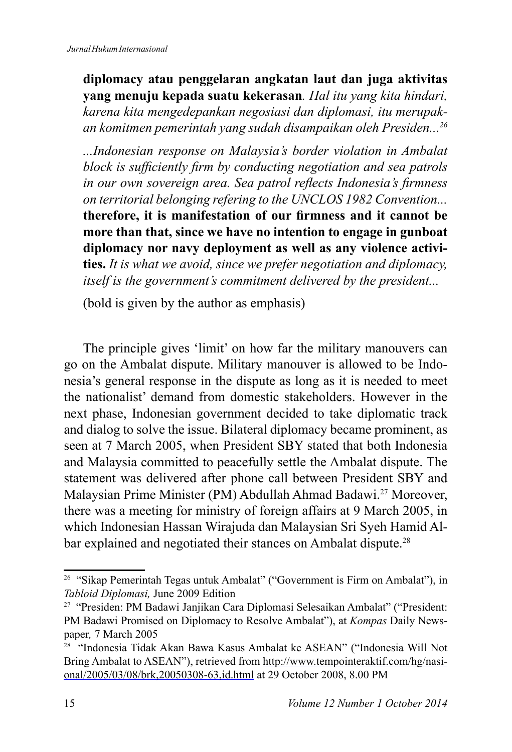**diplomacy atau penggelaran angkatan laut dan juga aktivitas yang menuju kepada suatu kekerasan***. Hal itu yang kita hindari, karena kita mengedepankan negosiasi dan diplomasi, itu merupakan komitmen pemerintah yang sudah disampaikan oleh Presiden...*

*...Indonesian response on Malaysia's border violation in Ambalat block is sufficiently firm by conducting negotiation and sea patrols* in our own sovereign area. Sea patrol reflects Indonesia's firmness *on territorial belonging refering to the UNCLOS 1982 Convention...* therefore, it is manifestation of our firmness and it cannot be **more than that, since we have no intention to engage in gunboat diplomacy nor navy deployment as well as any violence activities.** *It is what we avoid, since we prefer negotiation and diplomacy, itself is the government's commitment delivered by the president...*

(bold is given by the author as emphasis)

The principle gives 'limit' on how far the military manouvers can go on the Ambalat dispute. Military manouver is allowed to be Indonesia's general response in the dispute as long as it is needed to meet the nationalist' demand from domestic stakeholders. However in the next phase, Indonesian government decided to take diplomatic track and dialog to solve the issue. Bilateral diplomacy became prominent, as seen at 7 March 2005, when President SBY stated that both Indonesia and Malaysia committed to peacefully settle the Ambalat dispute. The statement was delivered after phone call between President SBY and Malaysian Prime Minister (PM) Abdullah Ahmad Badawi.<sup>27</sup> Moreover, there was a meeting for ministry of foreign affairs at 9 March 2005, in which Indonesian Hassan Wirajuda dan Malaysian Sri Syeh Hamid Albar explained and negotiated their stances on Ambalat dispute.<sup>28</sup>

<sup>&</sup>lt;sup>26</sup> "Sikap Pemerintah Tegas untuk Ambalat" ("Government is Firm on Ambalat"), in Tabloid Diplomasi, June 2009 Edition

<sup>&</sup>lt;sup>27</sup> "Presiden: PM Badawi Janjikan Cara Diplomasi Selesaikan Ambalat" ("President: PM Badawi Promised on Diplomacy to Resolve Ambalat"), at *Kompas* Daily Newspaper, 7 March 2005

<sup>&</sup>lt;sup>28</sup> "Indonesia Tidak Akan Bawa Kasus Ambalat ke ASEAN" ("Indonesia Will Not Bring Ambalat to ASEAN"), retrieved from http://www.tempointeraktif.com/hg/nasional/2005/03/08/brk,20050308-63,id.html at 29 October 2008, 8.00 PM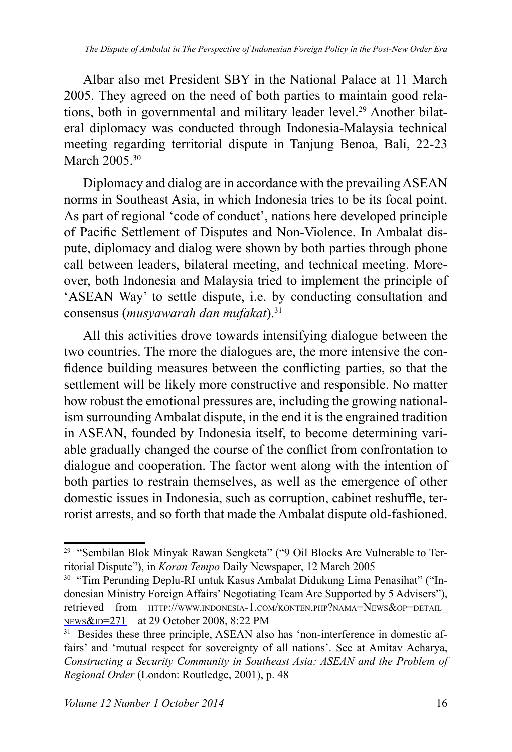Albar also met President SBY in the National Palace at 11 March 2005. They agreed on the need of both parties to maintain good relations, both in governmental and military leader level.<sup>29</sup> Another bilateral diplomacy was conducted through Indonesia-Malaysia technical meeting regarding territorial dispute in Tanjung Benoa, Bali, 22-23 March 2005.<sup>30</sup>

Diplomacy and dialog are in accordance with the prevailing ASEAN norms in Southeast Asia, in which Indonesia tries to be its focal point. As part of regional 'code of conduct', nations here developed principle of Pacific Settlement of Disputes and Non-Violence. In Ambalat dispute, diplomacy and dialog were shown by both parties through phone call between leaders, bilateral meeting, and technical meeting. Moreover, both Indonesia and Malaysia tried to implement the principle of 'ASEAN Way' to settle dispute, i.e. by conducting consultation and consensus (*musyawarah dan mufakat*).<sup>31</sup>

All this activities drove towards intensifying dialogue between the two countries. The more the dialogues are, the more intensive the confidence building measures between the conflicting parties, so that the settlement will be likely more constructive and responsible. No matter how robust the emotional pressures are, including the growing nationalism surrounding Ambalat dispute, in the end it is the engrained tradition in ASEAN, founded by Indonesia itself, to become determining variable gradually changed the course of the conflict from confrontation to dialogue and cooperation. The factor went along with the intention of both parties to restrain themselves, as well as the emergence of other domestic issues in Indonesia, such as corruption, cabinet reshuffle, terrorist arrests, and so forth that made the Ambalat dispute old-fashioned.

<sup>&</sup>lt;sup>29</sup> "Sembilan Blok Minyak Rawan Sengketa" ("9 Oil Blocks Are Vulnerable to Territorial Dispute"), in *Koran Tempo* Daily Newspaper, 12 March 2005

<sup>&</sup>lt;sup>30</sup> "Tim Perunding Deplu-RI untuk Kasus Ambalat Didukung Lima Penasihat" ("Indonesian Ministry Foreign Affairs' Negotiating Team Are Supported by 5 Advisers"), retrieved from HTTP://WWW.INDONESIA-1.COM/KONTEN.PHP?NAMA=NEWS&OP=DETAIL\_ NEWS&ID=271 at 29 October 2008, 8:22 PM

<sup>&</sup>lt;sup>31</sup> Besides these three principle, ASEAN also has 'non-interference in domestic affairs' and 'mutual respect for sovereignty of all nations'. See at Amitav Acharya, Constructing a Security Community in Southeast Asia: ASEAN and the Problem of *Regional Order* (London: Routledge, 2001), p. 48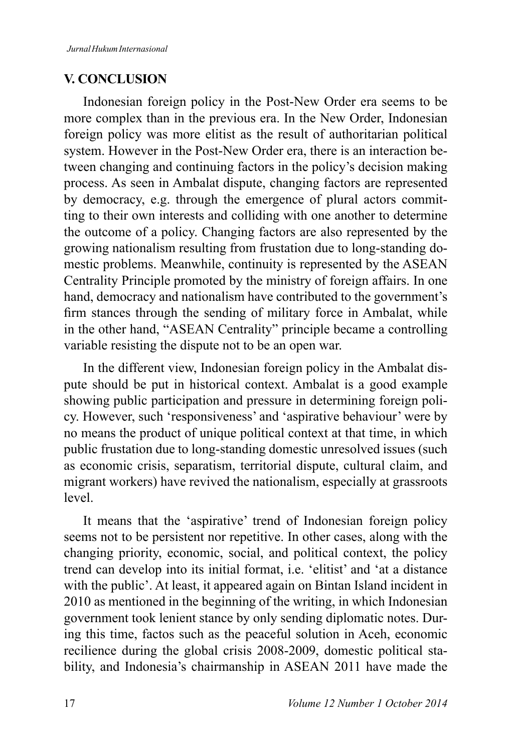### **V. CONCLUSION**

Indonesian foreign policy in the Post-New Order era seems to be more complex than in the previous era. In the New Order, Indonesian foreign policy was more elitist as the result of authoritarian political system. However in the Post-New Order era, there is an interaction between changing and continuing factors in the policy's decision making process. As seen in Ambalat dispute, changing factors are represented by democracy, e.g. through the emergence of plural actors committing to their own interests and colliding with one another to determine the outcome of a policy. Changing factors are also represented by the growing nationalism resulting from frustation due to long-standing domestic problems. Meanwhile, continuity is represented by the ASEAN Centrality Principle promoted by the ministry of foreign affairs. In one hand, democracy and nationalism have contributed to the government's firm stances through the sending of military force in Ambalat, while in the other hand, "ASEAN Centrality" principle became a controlling variable resisting the dispute not to be an open war.

In the different view, Indonesian foreign policy in the Ambalat dispute should be put in historical context. Ambalat is a good example showing public participation and pressure in determining foreign policy. However, such 'responsiveness' and 'aspirative behaviour' were by no means the product of unique political context at that time, in which public frustation due to long-standing domestic unresolved issues (such as economic crisis, separatism, territorial dispute, cultural claim, and migrant workers) have revived the nationalism, especially at grassroots level.

It means that the 'aspirative' trend of Indonesian foreign policy seems not to be persistent nor repetitive. In other cases, along with the changing priority, economic, social, and political context, the policy trend can develop into its initial format, i.e. 'elitist' and 'at a distance with the public'. At least, it appeared again on Bintan Island incident in  $2010$  as mentioned in the beginning of the writing, in which Indonesian government took lenient stance by only sending diplomatic notes. During this time, factos such as the peaceful solution in Aceh, economic recilience during the global crisis 2008-2009, domestic political stability, and Indonesia's chairmanship in ASEAN 2011 have made the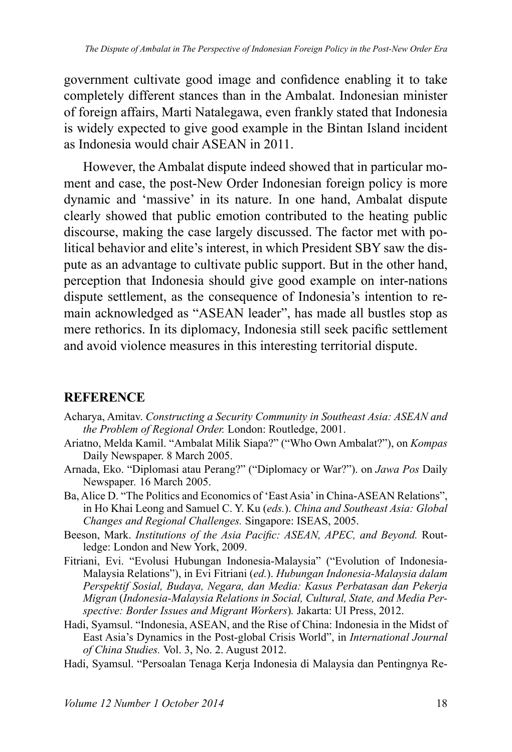government cultivate good image and confidence enabling it to take completely different stances than in the Ambalat. Indonesian minister of foreign affairs, Marti Natalegawa, even frankly stated that Indonesia is widely expected to give good example in the Bintan Island incident as Indonesia would chair  $\overline{ASEAN}$  in 2011

However, the Ambalat dispute indeed showed that in particular moment and case, the post-New Order Indonesian foreign policy is more dynamic and 'massive' in its nature. In one hand, Ambalat dispute clearly showed that public emotion contributed to the heating public discourse, making the case largely discussed. The factor met with political behavior and elite's interest, in which President SBY saw the dispute as an advantage to cultivate public support. But in the other hand, perception that Indonesia should give good example on inter-nations dispute settlement, as the consequence of Indonesia's intention to remain acknowledged as "ASEAN leader", has made all bustles stop as mere rethorics. In its diplomacy, Indonesia still seek pacific settlement and avoid violence measures in this interesting territorial dispute.

#### **REFERENCE**

- Acharya, Amitav. *Constructing a Security Community in Southeast Asia: ASEAN and the Problem of Regional Order. London: Routledge, 2001.*
- Ariatno, Melda Kamil. "Ambalat Milik Siapa?" ("Who Own Ambalat?"), on *Kompas*  Daily Newspaper. 8 March 2005.
- Arnada, Eko. "Diplomasi atau Perang?" ("Diplomacy or War?"). on *Jawa Pos* Daily Newspaper. 16 March 2005.
- Ba, Alice D. "The Politics and Economics of 'East Asia' in China-ASEAN Relations", in Ho Khai Leong and Samuel C. Y. Ku (eds.). *China and Southeast Asia: Global Changes and Regional Challenges. Singapore: ISEAS, 2005.*
- Beeson, Mark. *Institutions of the Asia Pacific: ASEAN, APEC, and Bevond.* Routledge: London and New York, 2009.
- Fitriani, Evi. "Evolusi Hubungan Indonesia-Malaysia" ("Evolution of Indonesia-Malaysia Relations"), in Evi Fitriani (*ed.*). *Hubungan Indonesia-Malaysia dalam*  Perspektif Sosial, Budaya, Negara, dan Media: Kasus Perbatasan dan Pekerja *Migran (Indonesia-Malaysia Relations in Social, Cultural, State, and Media Perspective: Border Issues and Migrant Workers*). Jakarta: UI Press, 2012.
- Hadi, Syamsul. "Indonesia, ASEAN, and the Rise of China: Indonesia in the Midst of East Asia's Dynamics in the Post-global Crisis World", in *International Journal*  of China Studies. Vol. 3, No. 2. August 2012.
- Hadi, Syamsul. "Persoalan Tenaga Kerja Indonesia di Malaysia dan Pentingnya Re-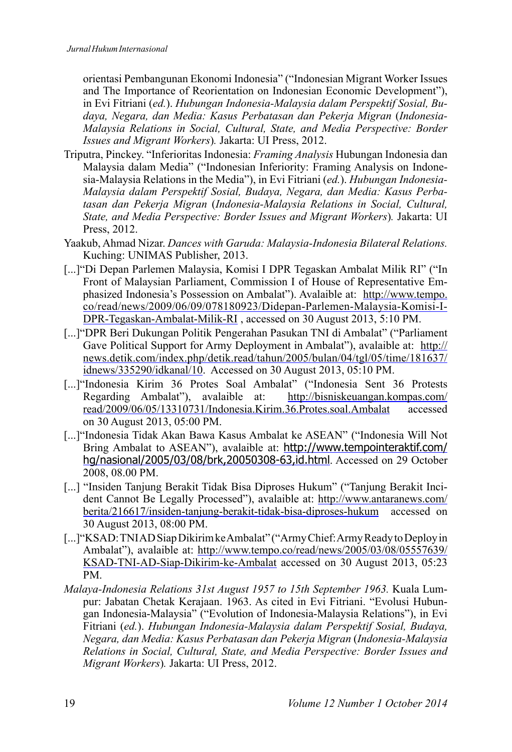orientasi Pembangunan Ekonomi Indonesia" ("Indonesian Migrant Worker Issues and The Importance of Reorientation on Indonesian Economic Development"), in Evi Fitriani (ed.). *Hubungan Indonesia-Malaysia dalam Perspektif Sosial, Bu*daya, Negara, dan Media: Kasus Perbatasan dan Pekerja Migran (Indonesia-*Malaysia Relations in Social, Cultural, State, and Media Perspective: Border Issues and Migrant Workers*). Jakarta: UI Press, 2012.

- Triputra, Pinckey. "Inferioritas Indonesia: *Framing Analysis* Hubungan Indonesia dan Malaysia dalam Media" ("Indonesian Inferiority: Framing Analysis on Indonesia-Malaysia Relations in the Media"), in Evi Fitriani (*ed.*). *Hubungan Indonesia-Malaysia dalam Perspektif Sosial, Budaya, Negara, dan Media: Kasus Perba*tasan dan Pekerja Migran (*Indonesia-Malaysia Relations in Social, Cultural*, *State, and Media Perspective: Border Issues and Migrant Workers).* Jakarta: UI Press  $2012$
- Yaakub, Ahmad Nizar. *Dances with Garuda: Malaysia-Indonesia Bilateral Relations.* Kuching: UNIMAS Publisher, 2013.
- [...]"Di Depan Parlemen Malaysia, Komisi I DPR Tegaskan Ambalat Milik RI" ("In Front of Malaysian Parliament, Commission I of House of Representative Emphasized Indonesia's Possession on Ambalat"). Avalaible at: http://www.tempo. co/read/news/2009/06/09/078180923/Didepan-Parlemen-Malaysia-Komisi-I-DPR-Tegaskan-Ambalat-Milik-RI, accessed on 30 August 2013, 5:10 PM.
- [...]"DPR Beri Dukungan Politik Pengerahan Pasukan TNI di Ambalat" ("Parliament Gave Political Support for Army Deployment in Ambalat"), avalaible at: http:// news.detik.com/index.php/detik.read/tahun/2005/bulan/04/tgl/05/time/181637/  $idnews/335290/idkanal/10$ . Accessed on 30 August 2013, 05:10 PM.
- [...] "Indonesia Kirim 36 Protes Soal Ambalat" ("Indonesia Sent 36 Protests Regarding Ambalat"), avalaible at: http://bisniskeuangan.kompas.com/ read/2009/06/05/13310731/Indonesia.Kirim.36.Protes.soal.Ambalat accessed on 30 August 2013, 05:00 PM.
- [...]"Indonesia Tidak Akan Bawa Kasus Ambalat ke ASEAN" ("Indonesia Will Not Bring Ambalat to ASEAN"), avalaible at: http://www.tempointeraktif.com/ hg/nasional/2005/03/08/brk,20050308-63,id.html. Accessed on 29 October 2008, 08.00 PM.
- [...] "Insiden Tanjung Berakit Tidak Bisa Diproses Hukum" ("Tanjung Berakit Incident Cannot Be Legally Processed"), avalaible at: http://www.antaranews.com/ berita/216617/insiden-tanjung-berakit-tidak-bisa-diproses-hukum accessed on 30 August 2013, 08:00 PM.
- [...]"KSAD: TNIAD Siap Dikirim ke Ambalat" ("Army Chief: Army Ready to Deploy in Ambalat"), avalaible at: http://www.tempo.co/read/news/2005/03/08/05557639/ KSAD-TNI-AD-Siap-Dikirim-ke-Ambalat accessed on 30 August 2013,  $05:23$ PM.
- *Malaya-Indonesia Relations 31st August 1957 to 15th September 1963.* Kuala Lumpur: Jabatan Chetak Kerajaan. 1963. As cited in Evi Fitriani. "Evolusi Hubungan Indonesia-Malaysia" ("Evolution of Indonesia-Malaysia Relations"), in Evi Fitriani (ed.). *Hubungan Indonesia-Malaysia dalam Perspektif Sosial, Budaya, 1HJDUDGDQ0HGLD.DVXV3HUEDWDVDQGDQ3HNHUMD0LJUDQ*(*Indonesia-Malaysia*  Relations in Social, Cultural, State, and Media Perspective: Border Issues and *Migrant Workers*). Jakarta: UI Press, 2012.